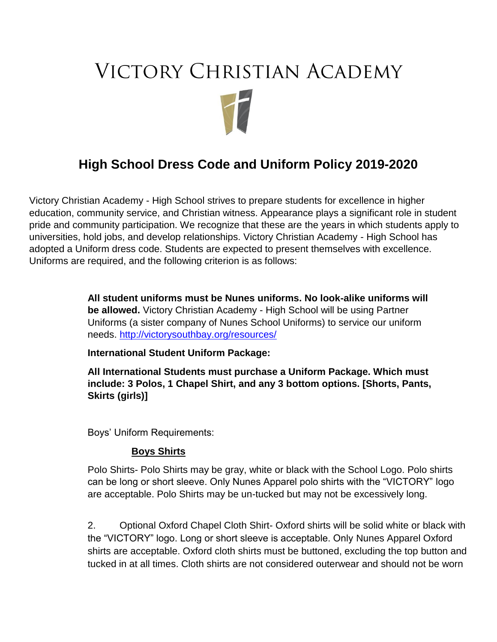# **VICTORY CHRISTIAN ACADEMY**

# **High School Dress Code and Uniform Policy 2019-2020**

Victory Christian Academy - High School strives to prepare students for excellence in higher education, community service, and Christian witness. Appearance plays a significant role in student pride and community participation. We recognize that these are the years in which students apply to universities, hold jobs, and develop relationships. Victory Christian Academy - High School has adopted a Uniform dress code. Students are expected to present themselves with excellence. Uniforms are required, and the following criterion is as follows:

> **All student uniforms must be Nunes uniforms. No look-alike uniforms will be allowed.** Victory Christian Academy - High School will be using Partner Uniforms (a sister company of Nunes School Uniforms) to service our uniform needs.<http://victorysouthbay.org/resources/>

**International Student Uniform Package:**

**All International Students must purchase a Uniform Package. Which must include: 3 Polos, 1 Chapel Shirt, and any 3 bottom options. [Shorts, Pants, Skirts (girls)]**

Boys' Uniform Requirements:

#### **Boys Shirts**

Polo Shirts- Polo Shirts may be gray, white or black with the School Logo. Polo shirts can be long or short sleeve. Only Nunes Apparel polo shirts with the "VICTORY" logo are acceptable. Polo Shirts may be un-tucked but may not be excessively long.

2. Optional Oxford Chapel Cloth Shirt- Oxford shirts will be solid white or black with the "VICTORY" logo. Long or short sleeve is acceptable. Only Nunes Apparel Oxford shirts are acceptable. Oxford cloth shirts must be buttoned, excluding the top button and tucked in at all times. Cloth shirts are not considered outerwear and should not be worn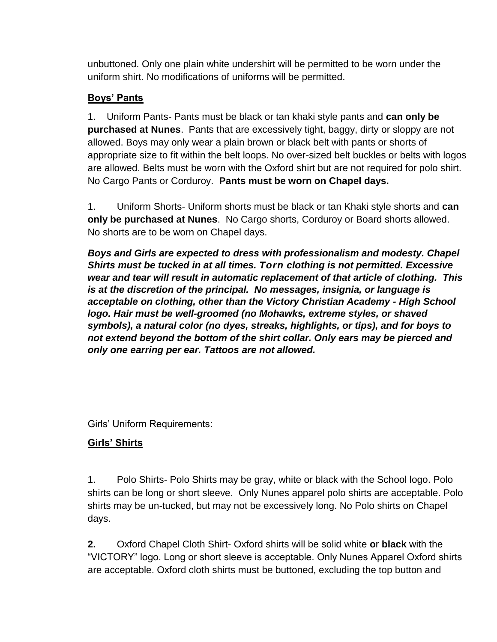unbuttoned. Only one plain white undershirt will be permitted to be worn under the uniform shirt. No modifications of uniforms will be permitted.

# **Boys' Pants**

1. Uniform Pants- Pants must be black or tan khaki style pants and **can only be purchased at Nunes**. Pants that are excessively tight, baggy, dirty or sloppy are not allowed. Boys may only wear a plain brown or black belt with pants or shorts of appropriate size to fit within the belt loops. No over-sized belt buckles or belts with logos are allowed. Belts must be worn with the Oxford shirt but are not required for polo shirt. No Cargo Pants or Corduroy. **Pants must be worn on Chapel days.**

1. Uniform Shorts- Uniform shorts must be black or tan Khaki style shorts and **can only be purchased at Nunes**. No Cargo shorts, Corduroy or Board shorts allowed. No shorts are to be worn on Chapel days.

*Boys and Girls are expected to dress with professionalism and modesty. Chapel Shirts must be tucked in at all times. Torn clothing is not permitted. Excessive wear and tear will result in automatic replacement of that article of clothing. This is at the discretion of the principal. No messages, insignia, or language is acceptable on clothing, other than the Victory Christian Academy - High School logo. Hair must be well-groomed (no Mohawks, extreme styles, or shaved symbols), a natural color (no dyes, streaks, highlights, or tips), and for boys to not extend beyond the bottom of the shirt collar. Only ears may be pierced and only one earring per ear. Tattoos are not allowed.*

Girls' Uniform Requirements:

# **Girls' Shirts**

1. Polo Shirts- Polo Shirts may be gray, white or black with the School logo. Polo shirts can be long or short sleeve. Only Nunes apparel polo shirts are acceptable. Polo shirts may be un-tucked, but may not be excessively long. No Polo shirts on Chapel days.

**2.** Oxford Chapel Cloth Shirt- Oxford shirts will be solid white **o**r **black** with the "VICTORY" logo. Long or short sleeve is acceptable. Only Nunes Apparel Oxford shirts are acceptable. Oxford cloth shirts must be buttoned, excluding the top button and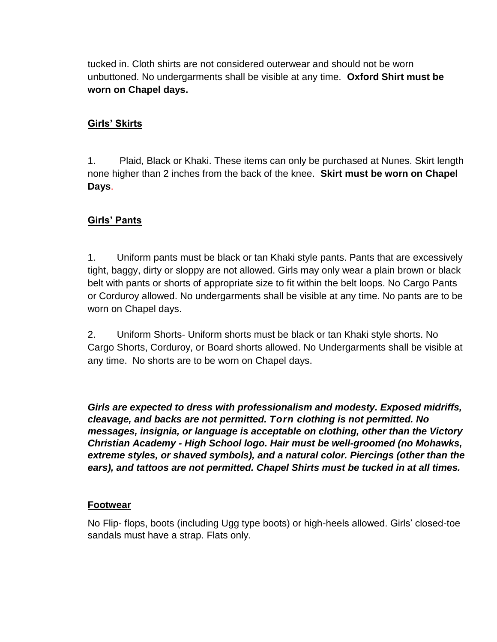tucked in. Cloth shirts are not considered outerwear and should not be worn unbuttoned. No undergarments shall be visible at any time. **Oxford Shirt must be worn on Chapel days.**

# **Girls' Skirts**

1. Plaid, Black or Khaki. These items can only be purchased at Nunes. Skirt length none higher than 2 inches from the back of the knee. **Skirt must be worn on Chapel Days**.

# **Girls' Pants**

1. Uniform pants must be black or tan Khaki style pants. Pants that are excessively tight, baggy, dirty or sloppy are not allowed. Girls may only wear a plain brown or black belt with pants or shorts of appropriate size to fit within the belt loops. No Cargo Pants or Corduroy allowed. No undergarments shall be visible at any time. No pants are to be worn on Chapel days.

2. Uniform Shorts- Uniform shorts must be black or tan Khaki style shorts. No Cargo Shorts, Corduroy, or Board shorts allowed. No Undergarments shall be visible at any time. No shorts are to be worn on Chapel days.

*Girls are expected to dress with professionalism and modesty. Exposed midriffs, cleavage, and backs are not permitted. Torn clothing is not permitted. No messages, insignia, or language is acceptable on clothing, other than the Victory Christian Academy - High School logo. Hair must be well-groomed (no Mohawks, extreme styles, or shaved symbols), and a natural color. Piercings (other than the ears), and tattoos are not permitted. Chapel Shirts must be tucked in at all times.*

#### **Footwear**

No Flip- flops, boots (including Ugg type boots) or high-heels allowed. Girls' closed-toe sandals must have a strap. Flats only.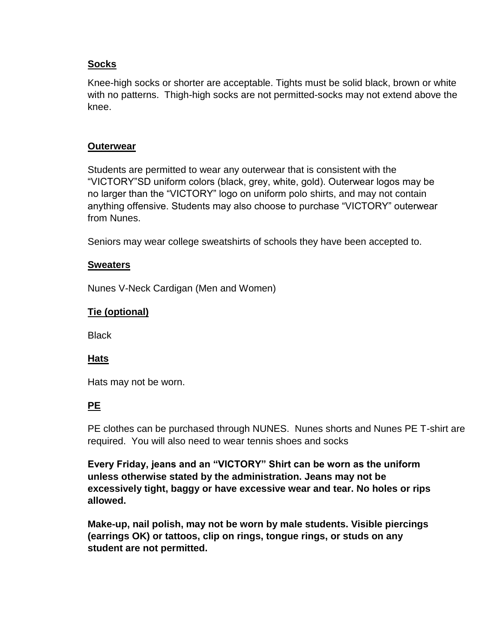#### **Socks**

Knee-high socks or shorter are acceptable. Tights must be solid black, brown or white with no patterns. Thigh-high socks are not permitted-socks may not extend above the knee.

#### **Outerwear**

Students are permitted to wear any outerwear that is consistent with the "VICTORY"SD uniform colors (black, grey, white, gold). Outerwear logos may be no larger than the "VICTORY" logo on uniform polo shirts, and may not contain anything offensive. Students may also choose to purchase "VICTORY" outerwear from Nunes.

Seniors may wear college sweatshirts of schools they have been accepted to.

#### **Sweaters**

Nunes V-Neck Cardigan (Men and Women)

#### **Tie (optional)**

**Black** 

#### **Hats**

Hats may not be worn.

#### **PE**

PE clothes can be purchased through NUNES. Nunes shorts and Nunes PE T-shirt are required. You will also need to wear tennis shoes and socks

**Every Friday, jeans and an "VICTORY" Shirt can be worn as the uniform unless otherwise stated by the administration. Jeans may not be excessively tight, baggy or have excessive wear and tear. No holes or rips allowed.**

**Make-up, nail polish, may not be worn by male students. Visible piercings (earrings OK) or tattoos, clip on rings, tongue rings, or studs on any student are not permitted.**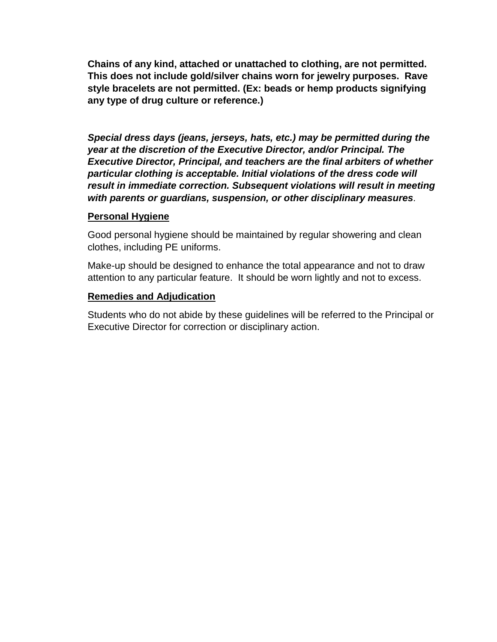**Chains of any kind, attached or unattached to clothing, are not permitted. This does not include gold/silver chains worn for jewelry purposes. Rave style bracelets are not permitted. (Ex: beads or hemp products signifying any type of drug culture or reference.)** 

*Special dress days (jeans, jerseys, hats, etc.) may be permitted during the year at the discretion of the Executive Director, and/or Principal. The Executive Director, Principal, and teachers are the final arbiters of whether particular clothing is acceptable. Initial violations of the dress code will result in immediate correction. Subsequent violations will result in meeting with parents or guardians, suspension, or other disciplinary measures.* 

#### **Personal Hygiene**

Good personal hygiene should be maintained by regular showering and clean clothes, including PE uniforms.

Make-up should be designed to enhance the total appearance and not to draw attention to any particular feature. It should be worn lightly and not to excess.

#### **Remedies and Adjudication**

Students who do not abide by these guidelines will be referred to the Principal or Executive Director for correction or disciplinary action.